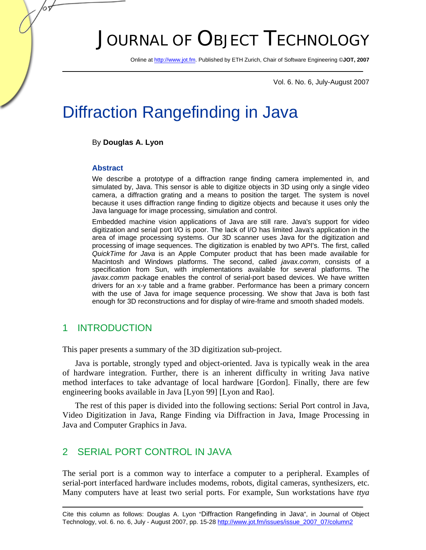# JOURNAL OF OBJECT TECHNOLOGY

Online at http://www.jot.fm. Published by ETH Zurich, Chair of Software Engineering ©**JOT, 2007** 

Vol. 6. No. 6, July-August 2007

## Diffraction Rangefinding in Java

#### By **Douglas A. Lyon**

#### **Abstract**

65

We describe a prototype of a diffraction range finding camera implemented in, and simulated by, Java. This sensor is able to digitize objects in 3D using only a single video camera, a diffraction grating and a means to position the target. The system is novel because it uses diffraction range finding to digitize objects and because it uses only the Java language for image processing, simulation and control.

Embedded machine vision applications of Java are still rare. Java's support for video digitization and serial port I/O is poor. The lack of I/O has limited Java's application in the area of image processing systems. Our 3D scanner uses Java for the digitization and processing of image sequences. The digitization is enabled by two API's. The first, called *QuickTime for Java* is an Apple Computer product that has been made available for Macintosh and Windows platforms. The second, called *javax.comm*, consists of a specification from Sun, with implementations available for several platforms. The *javax.comm* package enables the control of serial-port based devices. We have written drivers for an x-y table and a frame grabber. Performance has been a primary concern with the use of Java for image sequence processing. We show that Java is both fast enough for 3D reconstructions and for display of wire-frame and smooth shaded models.

#### 1 INTRODUCTION

This paper presents a summary of the 3D digitization sub-project.

Java is portable, strongly typed and object-oriented. Java is typically weak in the area of hardware integration. Further, there is an inherent difficulty in writing Java native method interfaces to take advantage of local hardware [Gordon]. Finally, there are few engineering books available in Java [Lyon 99] [Lyon and Rao].

The rest of this paper is divided into the following sections: Serial Port control in Java, Video Digitization in Java, Range Finding via Diffraction in Java, Image Processing in Java and Computer Graphics in Java.

### 2 SERIAL PORT CONTROL IN JAVA

The serial port is a common way to interface a computer to a peripheral. Examples of serial-port interfaced hardware includes modems, robots, digital cameras, synthesizers, etc. Many computers have at least two serial ports. For example, Sun workstations have *ttya*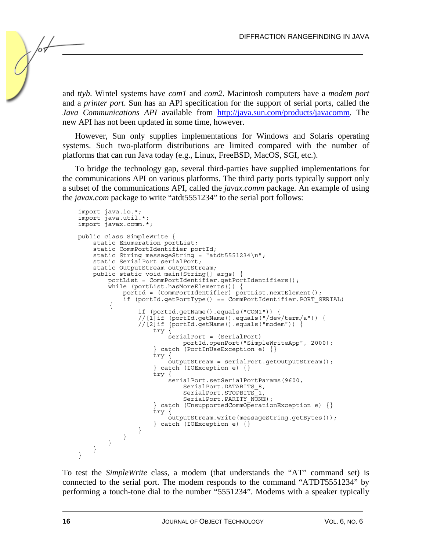and *ttyb*. Wintel systems have *com1* and *com2*. Macintosh computers have a *modem port* and a *printer port*. Sun has an API specification for the support of serial ports, called the *Java Communications API* available from http://java.sun.com/products/javacomm. The new API has not been updated in some time, however.

However, Sun only supplies implementations for Windows and Solaris operating systems. Such two-platform distributions are limited compared with the number of platforms that can run Java today (e.g., Linux, FreeBSD, MacOS, SGI, etc.).

To bridge the technology gap, several third-parties have supplied implementations for the communications API on various platforms. The third party ports typically support only a subset of the communications API, called the *javax.comm* package. An example of using the *javax.com* package to write "atdt5551234" to the serial port follows:

```
import java.io.*; 
import java.util.*; 
import javax.comm.*; 
public class SimpleWrite { 
    static Enumeration portList;
     static CommPortIdentifier portId; 
    static String messageString = "atdt5551234\n";
     static SerialPort serialPort; 
     static OutputStream outputStream; 
     public static void main(String[] args) { 
         portList = CommPortIdentifier.getPortIdentifiers(); 
        while (portList.hasMoreElements()) {
              portId = (CommPortIdentifier) portList.nextElement(); 
              if (portId.getPortType() == CommPortIdentifier.PORT_SERIAL) 
         { 
                  if (portId.getName().equals("COM1")) { 
                  //[1]if (portId.getName().equals("/dev/term/a")) { 
                  //[2]if (portId.getName().equals("modem")) { 
                      try { 
                           serialPort = (SerialPort) 
                              portId.openPort("SimpleWriteApp", 2000); 
                      } catch (PortInUseException e) {} 
                      try { 
                          outputStream = serialPort.getOutputStream(); 
                     \} catch (IOException e) \{ try { 
                           serialPort.setSerialPortParams(9600, 
                              SerialPort.DATABITS 8,
                              SerialPort.STOPBITS<sup>-1</sup>
                              SerialPort.PARITY_NONE);
                      } catch (UnsupportedCommOperationException e) {} 
                      try { 
                           outputStream.write(messageString.getBytes()); 
                      } catch (IOException e) {} 
                 } 
             } 
        } 
     } 
}
```
To test the *SimpleWrite* class, a modem (that understands the "AT" command set) is connected to the serial port. The modem responds to the command "ATDT5551234" by performing a touch-tone dial to the number "5551234". Modems with a speaker typically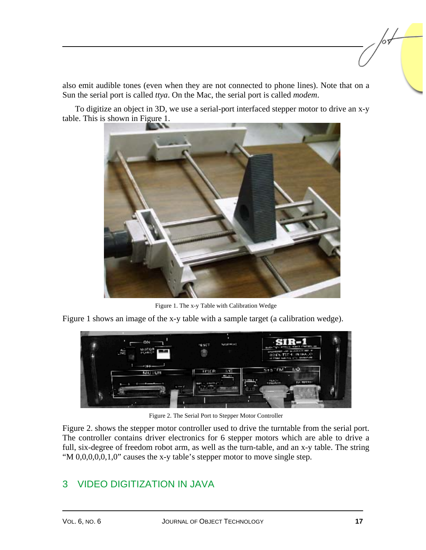also emit audible tones (even when they are not connected to phone lines). Note that on a Sun the serial port is called *ttya*. On the Mac, the serial port is called *modem*.

To digitize an object in 3D, we use a serial-port interfaced stepper motor to drive an x-y table. This is shown in Figure 1.



Figure 1. The x-y Table with Calibration Wedge

Figure 1 shows an image of the x-y table with a sample target (a calibration wedge).



Figure 2. The Serial Port to Stepper Motor Controller

Figure 2. shows the stepper motor controller used to drive the turntable from the serial port. The controller contains driver electronics for 6 stepper motors which are able to drive a full, six-degree of freedom robot arm, as well as the turn-table, and an x-y table. The string "M 0,0,0,0,0,1,0" causes the x-y table's stepper motor to move single step.

## 3 VIDEO DIGITIZATION IN JAVA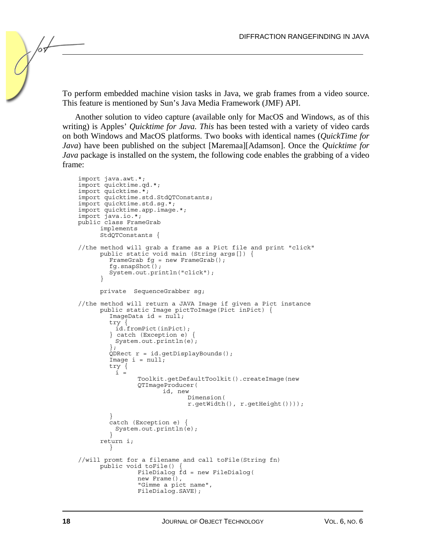To perform embedded machine vision tasks in Java, we grab frames from a video source. This feature is mentioned by Sun's Java Media Framework (JMF) API.

Another solution to video capture (available only for MacOS and Windows, as of this writing) is Apples' *Quicktime for Java. This* has been tested with a variety of video cards on both Windows and MacOS platforms. Two books with identical names (*QuickTime for Java*) have been published on the subject [Maremaa][Adamson]. Once the *Quicktime for Java* package is installed on the system, the following code enables the grabbing of a video frame:

```
import java.awt.*; 
import quicktime.qd.*; 
import quicktime.*; 
import quicktime.std.StdQTConstants; 
import quicktime.std.sg.*; 
import quicktime.app.image.*; 
import java.io.*; 
public class FrameGrab 
      implements 
      StdQTConstants { 
//the method will grab a frame as a Pict file and print "click" 
      public static void main (String args[]) { 
        FrameGrab fg = new FrameGrab();
         fg.snapShot(); 
         System.out.println("click"); 
 } 
      private SequenceGrabber sg; 
//the method will return a JAVA Image if given a Pict instance 
      public static Image pictToImage(Pict inPict) { 
        ImageData id = null; try { 
 id.fromPict(inPict); 
         } catch (Exception e) { 
         System.out.println(e);
\{\cdot\}QDRect r = id.getDisplayBounds();
        Image i = null; try { 
i = Toolkit.getDefaultToolkit().createImage(new 
                 QTImageProducer( 
                       id, new 
                              Dimension( 
                              r.getWidth(), r.getHeight()))); 
 } 
         catch (Exception e) { 
          System.out.println(e); 
 } 
      return i; 
 } 
//will promt for a filename and call toFile(String fn) 
      public void toFile() { 
                 FileDialog fd = new FileDialog( 
                new Frame(), 
                 "Gimme a pict name", 
                 FileDialog.SAVE);
```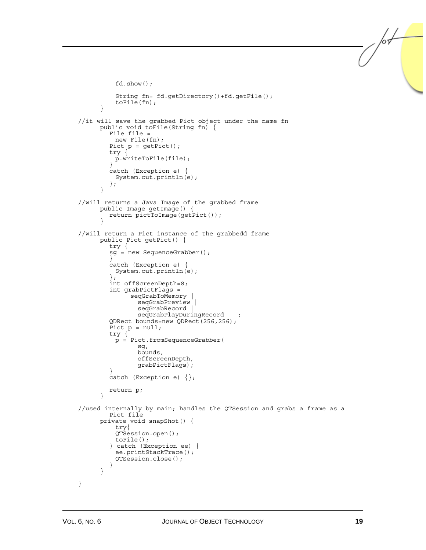```
 fd.show(); 
           String fn= fd.getDirectory()+fd.getFile(); 
           toFile(fn); 
       } 
//it will save the grabbed Pict object under the name fn 
       public void toFile(String fn) { 
          File file = 
           new File(fn); 
         Pict p = getPic();
          try { 
           p.writeToFile(file); 
 } 
         catch (Exception e) { 
           System.out.println(e); 
          }; 
       } 
//will returns a Java Image of the grabbed frame 
       public Image getImage() { 
      return pictToImage(getPict());
 } 
//will return a Pict instance of the grabbedd frame 
       public Pict getPict() { 
         try { 
          sg = new SequenceGrabber(); 
 } 
          catch (Exception e) { 
           System.out.println(e); 
          }; 
          int offScreenDepth=8; 
          int grabPictFlags = 
                seqGrabToMemory | 
                 seqGrabPreview |
                  seqGrabRecord | 
                  seqGrabPlayDuringRecord ; 
          QDRect bounds=new QDRect(256,256); 
        Pict p = null; try { 
           p = Pict.fromSequenceGrabber( 
                  sg, 
                  bounds, 
                  offScreenDepth, 
                  grabPictFlags); 
 } 
         catch (Exception e) \{\};
          return p; 
       } 
//used internally by main; handles the QTSession and grabs a frame as a 
         Pict file 
       private void snapShot() { 
           try{ 
           QTSession.open(); 
           toFile(); 
          } catch (Exception ee) { 
           ee.printStackTrace(); 
           QTSession.close(); 
 } 
       } 
}
```
/or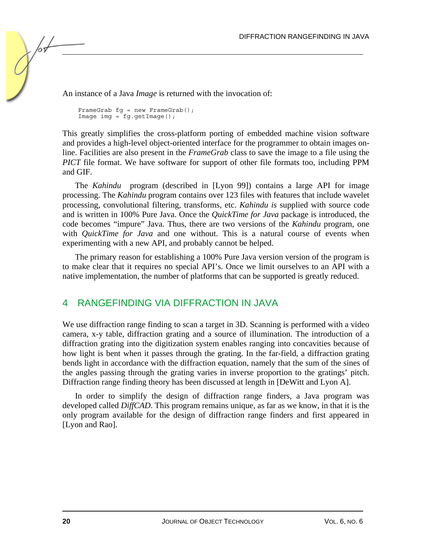An instance of a Java *Image* is returned with the invocation of:

```
FrameGrab fg = new FrameGraph();
Image \text{img} = fg.getImage();
```
This greatly simplifies the cross-platform porting of embedded machine vision software and provides a high-level object-oriented interface for the programmer to obtain images online. Facilities are also present in the *FrameGrab* class to save the image to a file using the *PICT* file format. We have software for support of other file formats too, including PPM and GIF.

The *Kahindu* program (described in [Lyon 99]) contains a large API for image processing. The *Kahindu* program contains over 123 files with features that include wavelet processing, convolutional filtering, transforms, etc. *Kahindu is* supplied with source code and is written in 100% Pure Java. Once the *QuickTime for Java* package is introduced, the code becomes "impure" Java. Thus, there are two versions of the *Kahindu* program, one with *QuickTime for Java* and one without. This is a natural course of events when experimenting with a new API, and probably cannot be helped.

The primary reason for establishing a 100% Pure Java version version of the program is to make clear that it requires no special API's. Once we limit ourselves to an API with a native implementation, the number of platforms that can be supported is greatly reduced.

#### 4 RANGEFINDING VIA DIFFRACTION IN JAVA

We use diffraction range finding to scan a target in 3D. Scanning is performed with a video camera, x-y table, diffraction grating and a source of illumination. The introduction of a diffraction grating into the digitization system enables ranging into concavities because of how light is bent when it passes through the grating. In the far-field, a diffraction grating bends light in accordance with the diffraction equation, namely that the sum of the sines of the angles passing through the grating varies in inverse proportion to the gratings' pitch. Diffraction range finding theory has been discussed at length in [DeWitt and Lyon A].

In order to simplify the design of diffraction range finders, a Java program was developed called *DiffCAD*. This program remains unique, as far as we know, in that it is the only program available for the design of diffraction range finders and first appeared in [Lyon and Rao].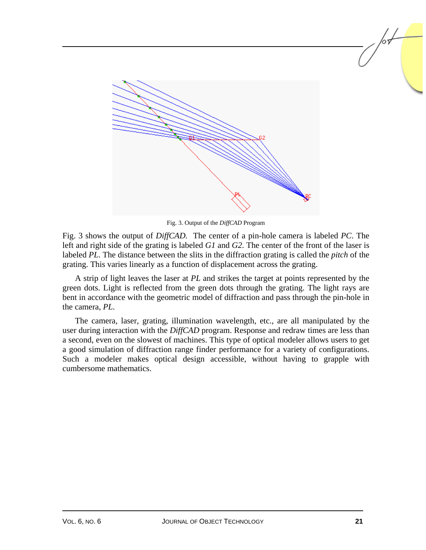

Fig. 3. Output of the *DiffCAD* Program

Fig. 3 shows the output of *DiffCAD.* The center of a pin-hole camera is labeled *PC*. The left and right side of the grating is labeled *G1* and *G2*. The center of the front of the laser is labeled *PL*. The distance between the slits in the diffraction grating is called the *pitch* of the grating. This varies linearly as a function of displacement across the grating.

A strip of light leaves the laser at *PL* and strikes the target at points represented by the green dots. Light is reflected from the green dots through the grating. The light rays are bent in accordance with the geometric model of diffraction and pass through the pin-hole in the camera, *PL*.

The camera, laser, grating, illumination wavelength, etc., are all manipulated by the user during interaction with the *DiffCAD* program. Response and redraw times are less than a second, even on the slowest of machines. This type of optical modeler allows users to get a good simulation of diffraction range finder performance for a variety of configurations. Such a modeler makes optical design accessible, without having to grapple with cumbersome mathematics.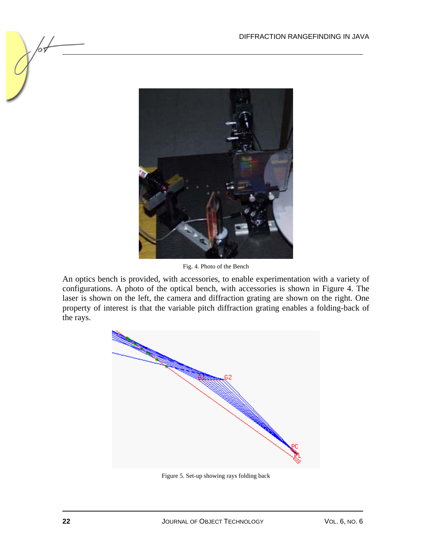

Fig. 4. Photo of the Bench

An optics bench is provided, with accessories, to enable experimentation with a variety of configurations. A photo of the optical bench, with accessories is shown in Figure 4. The laser is shown on the left, the camera and diffraction grating are shown on the right. One property of interest is that the variable pitch diffraction grating enables a folding-back of the rays.



Figure 5. Set-up showing rays folding back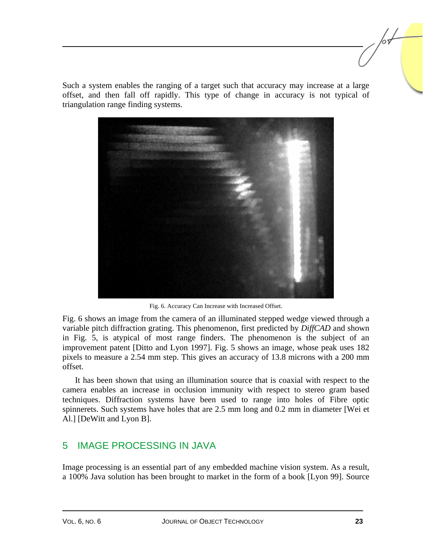Such a system enables the ranging of a target such that accuracy may increase at a large offset, and then fall off rapidly. This type of change in accuracy is not typical of triangulation range finding systems.



Fig. 6. Accuracy Can Increase with Increased Offset.

Fig. 6 shows an image from the camera of an illuminated stepped wedge viewed through a variable pitch diffraction grating. This phenomenon, first predicted by *DiffCAD* and shown in Fig. 5, is atypical of most range finders. The phenomenon is the subject of an improvement patent [Ditto and Lyon 1997]. Fig. 5 shows an image, whose peak uses 182 pixels to measure a 2.54 mm step. This gives an accuracy of 13.8 microns with a 200 mm offset.

It has been shown that using an illumination source that is coaxial with respect to the camera enables an increase in occlusion immunity with respect to stereo gram based techniques. Diffraction systems have been used to range into holes of Fibre optic spinnerets. Such systems have holes that are 2.5 mm long and 0.2 mm in diameter [Wei et Al.] [DeWitt and Lyon B].

#### 5 IMAGE PROCESSING IN JAVA

Image processing is an essential part of any embedded machine vision system. As a result, a 100% Java solution has been brought to market in the form of a book [Lyon 99]. Source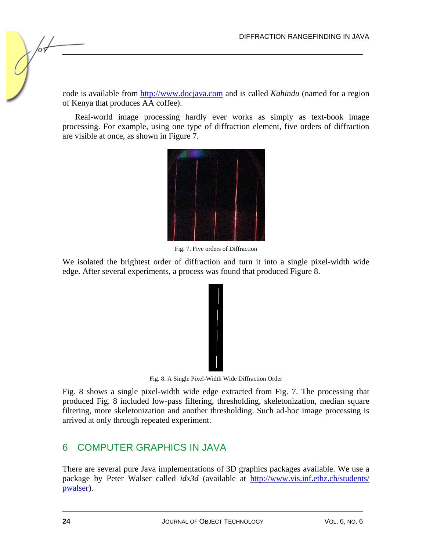code is available from http://www.docjava.com and is called *Kahindu* (named for a region of Kenya that produces AA coffee).

Real-world image processing hardly ever works as simply as text-book image processing. For example, using one type of diffraction element, five orders of diffraction are visible at once, as shown in Figure 7.



Fig. 7. Five orders of Diffraction

We isolated the brightest order of diffraction and turn it into a single pixel-width wide edge. After several experiments, a process was found that produced Figure 8.



Fig. 8. A Single Pixel-Width Wide Diffraction Order

Fig. 8 shows a single pixel-width wide edge extracted from Fig. 7. The processing that produced Fig. 8 included low-pass filtering, thresholding, skeletonization, median square filtering, more skeletonization and another thresholding. Such ad-hoc image processing is arrived at only through repeated experiment.

### 6 COMPUTER GRAPHICS IN JAVA

There are several pure Java implementations of 3D graphics packages available. We use a package by Peter Walser called *idx3d* (available at http://www.vis.inf.ethz.ch/students/ pwalser).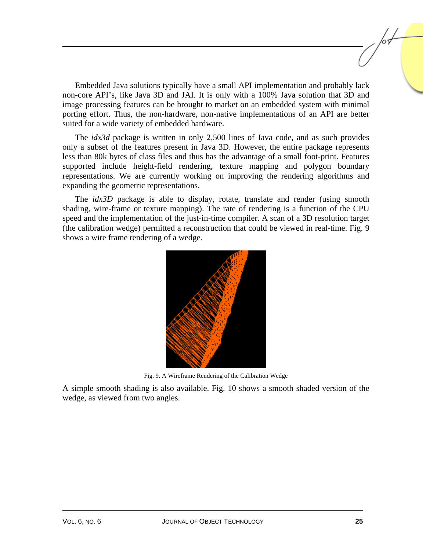Embedded Java solutions typically have a small API implementation and probably lack non-core API's, like Java 3D and JAI. It is only with a 100% Java solution that 3D and image processing features can be brought to market on an embedded system with minimal porting effort. Thus, the non-hardware, non-native implementations of an API are better suited for a wide variety of embedded hardware.

The *idx3d* package is written in only 2,500 lines of Java code, and as such provides only a subset of the features present in Java 3D. However, the entire package represents less than 80k bytes of class files and thus has the advantage of a small foot-print. Features supported include height-field rendering, texture mapping and polygon boundary representations. We are currently working on improving the rendering algorithms and expanding the geometric representations.

The *idx3D* package is able to display, rotate, translate and render (using smooth shading, wire-frame or texture mapping). The rate of rendering is a function of the CPU speed and the implementation of the just-in-time compiler. A scan of a 3D resolution target (the calibration wedge) permitted a reconstruction that could be viewed in real-time. Fig. 9 shows a wire frame rendering of a wedge.



Fig. 9. A Wireframe Rendering of the Calibration Wedge

A simple smooth shading is also available. Fig. 10 shows a smooth shaded version of the wedge, as viewed from two angles.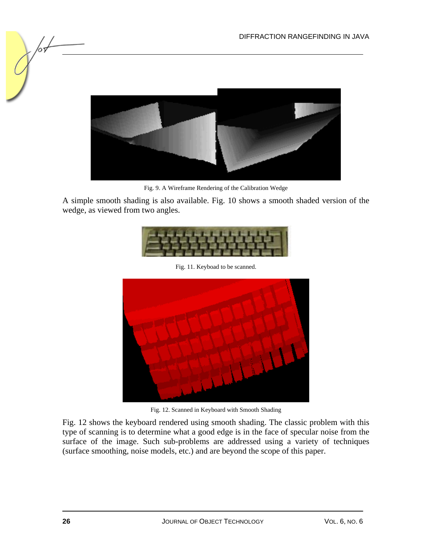

Fig. 9. A Wireframe Rendering of the Calibration Wedge

A simple smooth shading is also available. Fig. 10 shows a smooth shaded version of the wedge, as viewed from two angles.



Fig. 11. Keyboad to be scanned.



Fig. 12. Scanned in Keyboard with Smooth Shading

Fig. 12 shows the keyboard rendered using smooth shading. The classic problem with this type of scanning is to determine what a good edge is in the face of specular noise from the surface of the image. Such sub-problems are addressed using a variety of techniques (surface smoothing, noise models, etc.) and are beyond the scope of this paper.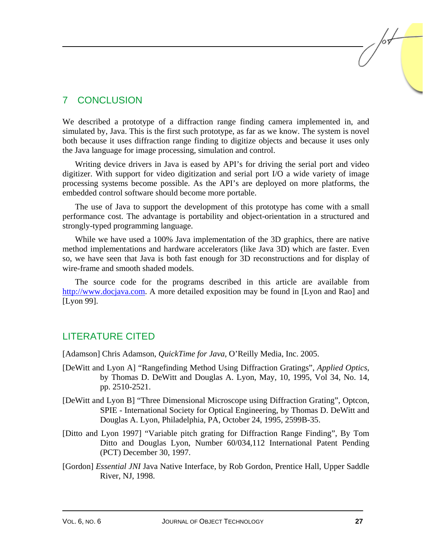## 7 CONCLUSION

We described a prototype of a diffraction range finding camera implemented in, and simulated by, Java. This is the first such prototype, as far as we know. The system is novel both because it uses diffraction range finding to digitize objects and because it uses only the Java language for image processing, simulation and control.

Writing device drivers in Java is eased by API's for driving the serial port and video digitizer. With support for video digitization and serial port I/O a wide variety of image processing systems become possible. As the API's are deployed on more platforms, the embedded control software should become more portable.

The use of Java to support the development of this prototype has come with a small performance cost. The advantage is portability and object-orientation in a structured and strongly-typed programming language.

While we have used a 100% Java implementation of the 3D graphics, there are native method implementations and hardware accelerators (like Java 3D) which are faster. Even so, we have seen that Java is both fast enough for 3D reconstructions and for display of wire-frame and smooth shaded models.

The source code for the programs described in this article are available from http://www.docjava.com. A more detailed exposition may be found in [Lyon and Rao] and [Lyon 99].

### LITERATURE CITED

[Adamson] Chris Adamson, *QuickTime for Java*, O'Reilly Media, Inc. 2005.

- [DeWitt and Lyon A] "Rangefinding Method Using Diffraction Gratings", *Applied Optics*, by Thomas D. DeWitt and Douglas A. Lyon, May, 10, 1995, Vol 34, No. 14, pp. 2510-2521.
- [DeWitt and Lyon B] "Three Dimensional Microscope using Diffraction Grating", Optcon, SPIE - International Society for Optical Engineering, by Thomas D. DeWitt and Douglas A. Lyon, Philadelphia, PA, October 24, 1995, 2599B-35.
- [Ditto and Lyon 1997] "Variable pitch grating for Diffraction Range Finding", By Tom Ditto and Douglas Lyon, Number 60/034,112 International Patent Pending (PCT) December 30, 1997.
- [Gordon] *Essential JNI* Java Native Interface, by Rob Gordon, Prentice Hall, Upper Saddle River, NJ, 1998.

/or